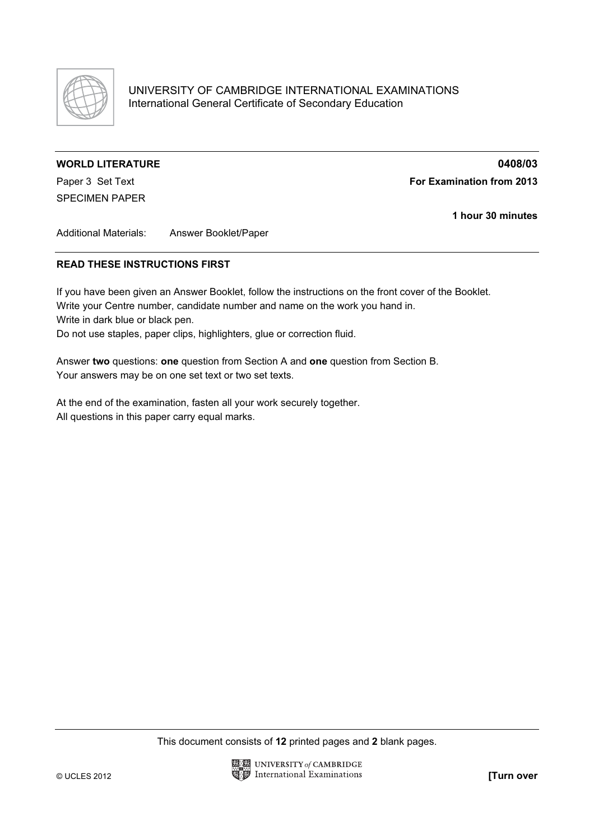

### WORLD LITERATURE **0408/03**

SPECIMEN PAPER

Paper 3 Set Text For Examination from 2013

1 hour 30 minutes

Additional Materials: Answer Booklet/Paper

## READ THESE INSTRUCTIONS FIRST

If you have been given an Answer Booklet, follow the instructions on the front cover of the Booklet. Write your Centre number, candidate number and name on the work you hand in. Write in dark blue or black pen. Do not use staples, paper clips, highlighters, glue or correction fluid.

Answer two questions: one question from Section A and one question from Section B. Your answers may be on one set text or two set texts.

At the end of the examination, fasten all your work securely together. All questions in this paper carry equal marks.

This document consists of 12 printed pages and 2 blank pages.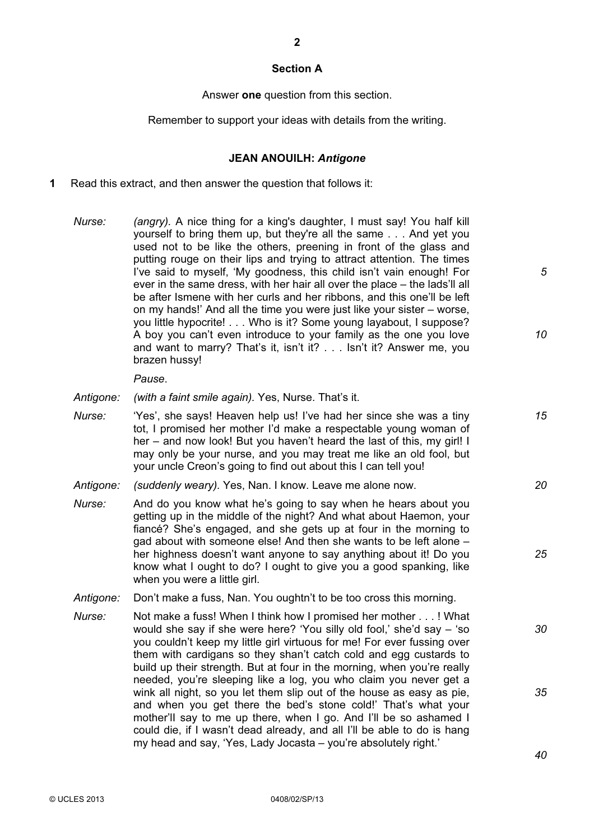### Section A

Answer one question from this section.

Remember to support your ideas with details from the writing.

#### JEAN ANOUILH: Antigone

- 1 Read this extract, and then answer the question that follows it:
	- Nurse: (angry). A nice thing for a king's daughter, I must say! You half kill yourself to bring them up, but they're all the same . . . And yet you used not to be like the others, preening in front of the glass and putting rouge on their lips and trying to attract attention. The times I've said to myself, 'My goodness, this child isn't vain enough! For ever in the same dress, with her hair all over the place – the lads'll all be after Ismene with her curls and her ribbons, and this one'll be left on my hands!' And all the time you were just like your sister – worse, you little hypocrite! . . . Who is it? Some young layabout, I suppose? A boy you can't even introduce to your family as the one you love and want to marry? That's it, isn't it? . . . Isn't it? Answer me, you brazen hussy!

Pause.

- Antigone: (with a faint smile again). Yes, Nurse. That's it.
- Nurse: 'Yes', she says! Heaven help us! I've had her since she was a tiny tot, I promised her mother I'd make a respectable young woman of her – and now look! But you haven't heard the last of this, my girl! I may only be your nurse, and you may treat me like an old fool, but your uncle Creon's going to find out about this I can tell you!
- Antigone: (suddenly weary). Yes, Nan. I know. Leave me alone now. 20
- Nurse: And do you know what he's going to say when he hears about you getting up in the middle of the night? And what about Haemon, your fiancé? She's engaged, and she gets up at four in the morning to gad about with someone else! And then she wants to be left alone – her highness doesn't want anyone to say anything about it! Do you know what I ought to do? I ought to give you a good spanking, like when you were a little girl.
- Antigone: Don't make a fuss, Nan. You oughtn't to be too cross this morning.
- Nurse: Not make a fuss! When I think how I promised her mother . . . ! What would she say if she were here? 'You silly old fool,' she'd say – 'so you couldn't keep my little girl virtuous for me! For ever fussing over them with cardigans so they shan't catch cold and egg custards to build up their strength. But at four in the morning, when you're really needed, you're sleeping like a log, you who claim you never get a wink all night, so you let them slip out of the house as easy as pie, and when you get there the bed's stone cold!' That's what your mother'lI say to me up there, when I go. And I'll be so ashamed I could die, if I wasn't dead already, and all I'll be able to do is hang my head and say, 'Yes, Lady Jocasta – you're absolutely right.'

5

10

15

25

30

35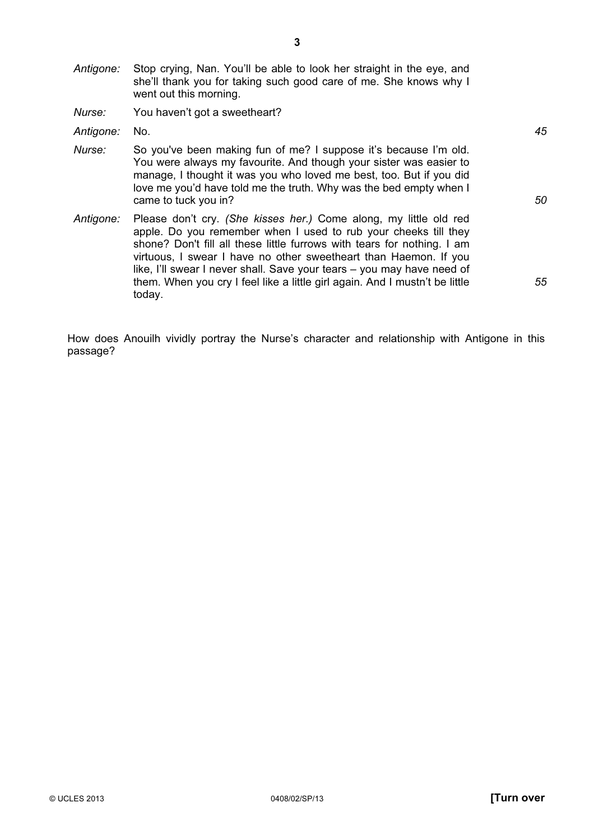- Antigone: Stop crying, Nan. You'll be able to look her straight in the eye, and she'll thank you for taking such good care of me. She knows why I went out this morning.
- Nurse: You haven't got a sweetheart?

Antigone: No. 45

- Nurse: So you've been making fun of me? I suppose it's because I'm old. You were always my favourite. And though your sister was easier to manage, I thought it was you who loved me best, too. But if you did love me you'd have told me the truth. Why was the bed empty when I came to tuck you in? 50
- Antigone: Please don't cry. (She kisses her.) Come along, my little old red apple. Do you remember when I used to rub your cheeks till they shone? Don't fill all these little furrows with tears for nothing. I am virtuous, I swear I have no other sweetheart than Haemon. If you like, I'll swear I never shall. Save your tears – you may have need of them. When you cry I feel like a little girl again. And I mustn't be little today.

 How does Anouilh vividly portray the Nurse's character and relationship with Antigone in this passage?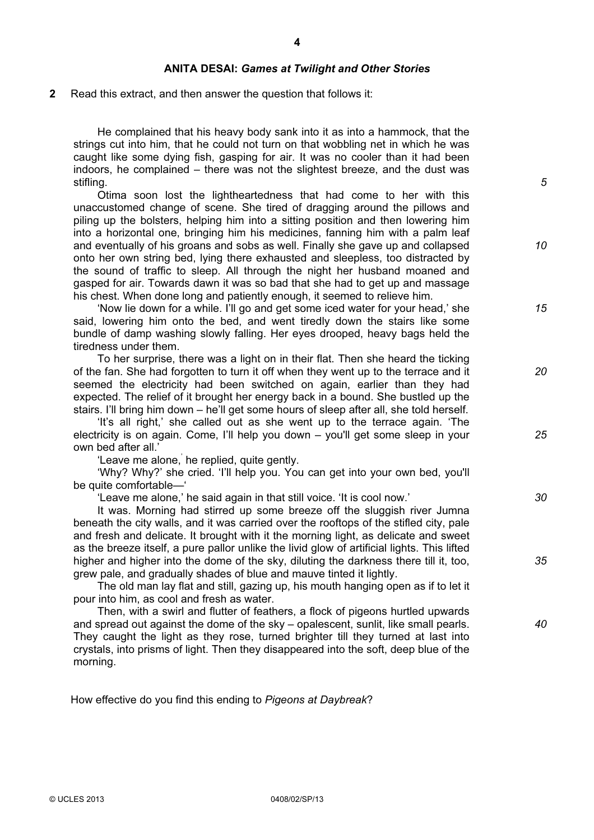#### ANITA DESAI: Games at Twilight and Other Stories

2 Read this extract, and then answer the question that follows it:

 He complained that his heavy body sank into it as into a hammock, that the strings cut into him, that he could not turn on that wobbling net in which he was caught like some dying fish, gasping for air. It was no cooler than it had been indoors, he complained – there was not the slightest breeze, and the dust was stifling.  $5$ 

 Otima soon lost the lightheartedness that had come to her with this unaccustomed change of scene. She tired of dragging around the pillows and piling up the bolsters, helping him into a sitting position and then lowering him into a horizontal one, bringing him his medicines, fanning him with a palm leaf and eventually of his groans and sobs as well. Finally she gave up and collapsed onto her own string bed, lying there exhausted and sleepless, too distracted by the sound of traffic to sleep. All through the night her husband moaned and gasped for air. Towards dawn it was so bad that she had to get up and massage his chest. When done long and patiently enough, it seemed to relieve him.

 'Now lie down for a while. I'll go and get some iced water for your head,' she said, lowering him onto the bed, and went tiredly down the stairs like some bundle of damp washing slowly falling. Her eyes drooped, heavy bags held the tiredness under them.

 To her surprise, there was a light on in their flat. Then she heard the ticking of the fan. She had forgotten to turn it off when they went up to the terrace and it seemed the electricity had been switched on again, earlier than they had expected. The relief of it brought her energy back in a bound. She bustled up the stairs. I'll bring him down – he'll get some hours of sleep after all, she told herself.

 'It's all right,' she called out as she went up to the terrace again. 'The electricity is on again. Come, I'll help you down – you'll get some sleep in your own bed after all.'

'Leave me alone, he replied, quite gently.

 'Why? Why?' she cried. 'I'll help you. You can get into your own bed, you'll be quite comfortable—'

'Leave me alone,' he said again in that still voice. 'It is cool now.' 30

 It was. Morning had stirred up some breeze off the sluggish river Jumna beneath the city walls, and it was carried over the rooftops of the stifled city, pale and fresh and delicate. It brought with it the morning light, as delicate and sweet as the breeze itself, a pure pallor unlike the livid glow of artificial lights. This lifted higher and higher into the dome of the sky, diluting the darkness there till it, too, grew pale, and gradually shades of blue and mauve tinted it lightly.

 The old man lay flat and still, gazing up, his mouth hanging open as if to let it pour into him, as cool and fresh as water.

 Then, with a swirl and flutter of feathers, a flock of pigeons hurtled upwards and spread out against the dome of the sky – opalescent, sunlit, like small pearls. They caught the light as they rose, turned brighter till they turned at last into crystals, into prisms of light. Then they disappeared into the soft, deep blue of the morning.

How effective do you find this ending to Pigeons at Daybreak?

10

20

15

25

35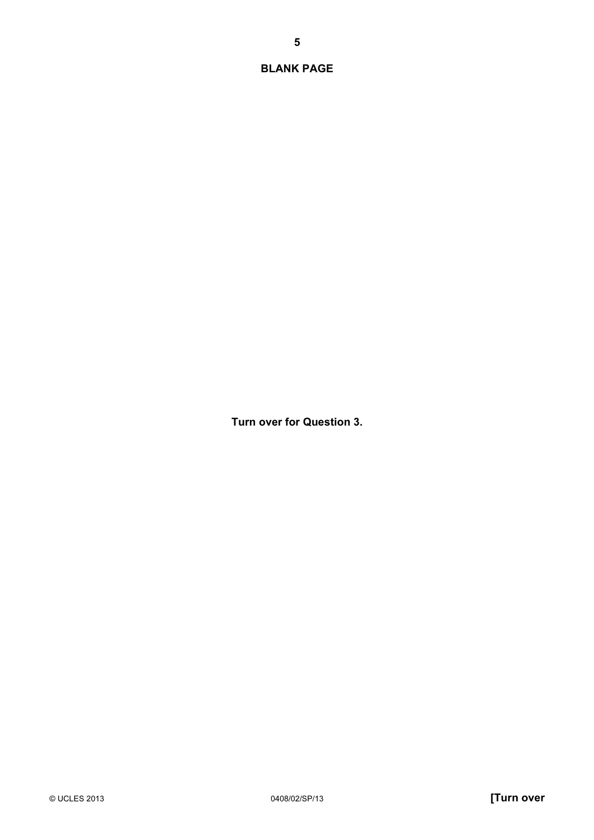BLANK PAGE

5

Turn over for Question 3.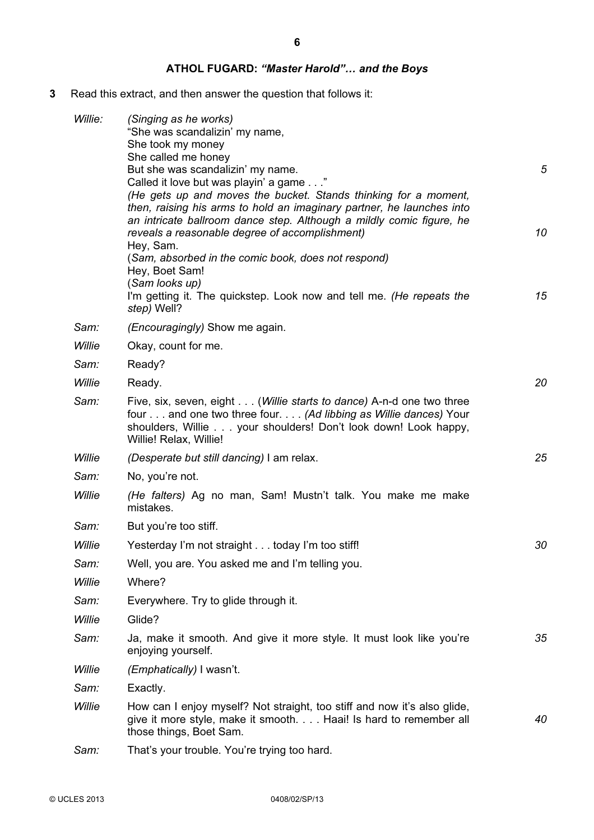# ATHOL FUGARD: "Master Harold"… and the Boys

3 Read this extract, and then answer the question that follows it:

| Willie: | (Singing as he works)<br>"She was scandalizin' my name,<br>She took my money<br>She called me honey                                                                                                                                                                                             |    |
|---------|-------------------------------------------------------------------------------------------------------------------------------------------------------------------------------------------------------------------------------------------------------------------------------------------------|----|
|         | But she was scandalizin' my name.<br>Called it love but was playin' a game"<br>(He gets up and moves the bucket. Stands thinking for a moment,<br>then, raising his arms to hold an imaginary partner, he launches into<br>an intricate ballroom dance step. Although a mildly comic figure, he | 5  |
|         | reveals a reasonable degree of accomplishment)<br>Hey, Sam.<br>(Sam, absorbed in the comic book, does not respond)<br>Hey, Boet Sam!<br>(Sam looks up)                                                                                                                                          | 10 |
|         | I'm getting it. The quickstep. Look now and tell me. (He repeats the<br>step) Well?                                                                                                                                                                                                             | 15 |
| Sam:    | (Encouragingly) Show me again.                                                                                                                                                                                                                                                                  |    |
| Willie  | Okay, count for me.                                                                                                                                                                                                                                                                             |    |
| Sam:    | Ready?                                                                                                                                                                                                                                                                                          |    |
| Willie  | Ready.                                                                                                                                                                                                                                                                                          | 20 |
| Sam:    | Five, six, seven, eight (Willie starts to dance) A-n-d one two three<br>four and one two three four. (Ad libbing as Willie dances) Your<br>shoulders, Willie your shoulders! Don't look down! Look happy,<br>Willie! Relax, Willie!                                                             |    |
| Willie  | (Desperate but still dancing) I am relax.                                                                                                                                                                                                                                                       | 25 |
| Sam:    | No, you're not.                                                                                                                                                                                                                                                                                 |    |
| Willie  | (He falters) Ag no man, Sam! Mustn't talk. You make me make<br>mistakes.                                                                                                                                                                                                                        |    |
| Sam:    | But you're too stiff.                                                                                                                                                                                                                                                                           |    |
| Willie  | Yesterday I'm not straight today I'm too stiff!                                                                                                                                                                                                                                                 | 30 |
| Sam:    | Well, you are. You asked me and I'm telling you.                                                                                                                                                                                                                                                |    |
| Willie  | Where?                                                                                                                                                                                                                                                                                          |    |
| Sam:    | Everywhere. Try to glide through it.                                                                                                                                                                                                                                                            |    |
| Willie  | Glide?                                                                                                                                                                                                                                                                                          |    |
| Sam:    | Ja, make it smooth. And give it more style. It must look like you're<br>enjoying yourself.                                                                                                                                                                                                      | 35 |
| Willie  | (Emphatically) I wasn't.                                                                                                                                                                                                                                                                        |    |
| Sam:    | Exactly.                                                                                                                                                                                                                                                                                        |    |
| Willie  | How can I enjoy myself? Not straight, too stiff and now it's also glide,<br>give it more style, make it smooth. Haai! Is hard to remember all<br>those things, Boet Sam.                                                                                                                        | 40 |
| Sam:    | That's your trouble. You're trying too hard.                                                                                                                                                                                                                                                    |    |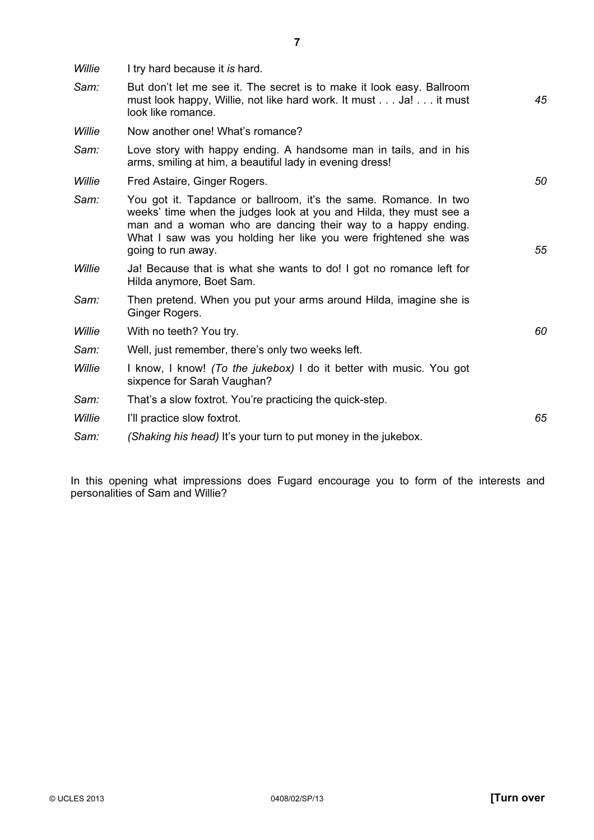| Willie | I try hard because it is hard.                                                                                                                                                                                                                                                                  |    |
|--------|-------------------------------------------------------------------------------------------------------------------------------------------------------------------------------------------------------------------------------------------------------------------------------------------------|----|
| Sam:   | But don't let me see it. The secret is to make it look easy. Ballroom<br>must look happy, Willie, not like hard work. It must Ja! it must<br>look like romance.                                                                                                                                 | 45 |
| Willie | Now another one! What's romance?                                                                                                                                                                                                                                                                |    |
| Sam:   | Love story with happy ending. A handsome man in tails, and in his<br>arms, smiling at him, a beautiful lady in evening dress!                                                                                                                                                                   |    |
| Willie | Fred Astaire, Ginger Rogers.                                                                                                                                                                                                                                                                    | 50 |
| Sam:   | You got it. Tapdance or ballroom, it's the same. Romance. In two<br>weeks' time when the judges look at you and Hilda, they must see a<br>man and a woman who are dancing their way to a happy ending.<br>What I saw was you holding her like you were frightened she was<br>going to run away. | 55 |
| Willie | Ja! Because that is what she wants to do! I got no romance left for<br>Hilda anymore, Boet Sam.                                                                                                                                                                                                 |    |
| Sam:   | Then pretend. When you put your arms around Hilda, imagine she is<br>Ginger Rogers.                                                                                                                                                                                                             |    |
| Willie | With no teeth? You try.                                                                                                                                                                                                                                                                         | 60 |
| Sam:   | Well, just remember, there's only two weeks left.                                                                                                                                                                                                                                               |    |
| Willie | I know, I know! (To the jukebox) I do it better with music. You got<br>sixpence for Sarah Vaughan?                                                                                                                                                                                              |    |
| Sam:   | That's a slow foxtrot. You're practicing the quick-step.                                                                                                                                                                                                                                        |    |
| Willie | I'll practice slow foxtrot.                                                                                                                                                                                                                                                                     | 65 |
| Sam:   | (Shaking his head) It's your turn to put money in the jukebox.                                                                                                                                                                                                                                  |    |

In this opening what impressions does Fugard encourage you to form of the interests and personalities of Sam and Willie?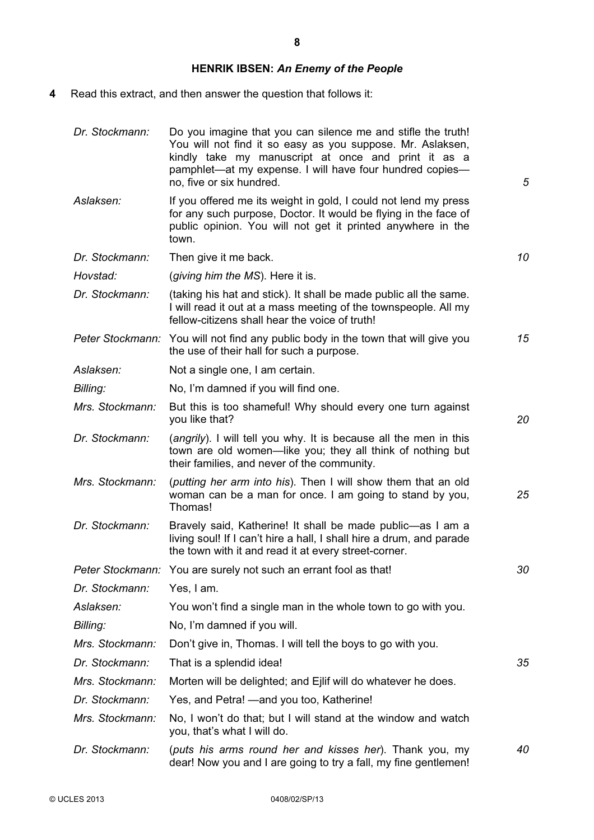# HENRIK IBSEN: An Enemy of the People

4 Read this extract, and then answer the question that follows it:

| Dr. Stockmann:   | Do you imagine that you can silence me and stifle the truth!<br>You will not find it so easy as you suppose. Mr. Aslaksen,<br>kindly take my manuscript at once and print it as a<br>pamphlet-at my expense. I will have four hundred copies-<br>no, five or six hundred. | 5  |
|------------------|---------------------------------------------------------------------------------------------------------------------------------------------------------------------------------------------------------------------------------------------------------------------------|----|
| Aslaksen:        | If you offered me its weight in gold, I could not lend my press<br>for any such purpose, Doctor. It would be flying in the face of<br>public opinion. You will not get it printed anywhere in the<br>town.                                                                |    |
| Dr. Stockmann:   | Then give it me back.                                                                                                                                                                                                                                                     | 10 |
| Hovstad:         | (giving him the MS). Here it is.                                                                                                                                                                                                                                          |    |
| Dr. Stockmann:   | (taking his hat and stick). It shall be made public all the same.<br>I will read it out at a mass meeting of the townspeople. All my<br>fellow-citizens shall hear the voice of truth!                                                                                    |    |
|                  | Peter Stockmann: You will not find any public body in the town that will give you<br>the use of their hall for such a purpose.                                                                                                                                            | 15 |
| Aslaksen:        | Not a single one, I am certain.                                                                                                                                                                                                                                           |    |
| Billing:         | No, I'm damned if you will find one.                                                                                                                                                                                                                                      |    |
| Mrs. Stockmann:  | But this is too shameful! Why should every one turn against<br>you like that?                                                                                                                                                                                             | 20 |
| Dr. Stockmann:   | (angrily). I will tell you why. It is because all the men in this<br>town are old women—like you; they all think of nothing but<br>their families, and never of the community.                                                                                            |    |
| Mrs. Stockmann:  | (putting her arm into his). Then I will show them that an old<br>woman can be a man for once. I am going to stand by you,<br>Thomas!                                                                                                                                      | 25 |
| Dr. Stockmann:   | Bravely said, Katherine! It shall be made public—as I am a<br>living soul! If I can't hire a hall, I shall hire a drum, and parade<br>the town with it and read it at every street-corner.                                                                                |    |
| Peter Stockmann: | You are surely not such an errant fool as that!                                                                                                                                                                                                                           | 30 |
| Dr. Stockmann:   | Yes, I am.                                                                                                                                                                                                                                                                |    |
| Aslaksen:        | You won't find a single man in the whole town to go with you.                                                                                                                                                                                                             |    |
| Billing:         | No, I'm damned if you will.                                                                                                                                                                                                                                               |    |
| Mrs. Stockmann:  | Don't give in, Thomas. I will tell the boys to go with you.                                                                                                                                                                                                               |    |
| Dr. Stockmann:   | That is a splendid idea!                                                                                                                                                                                                                                                  | 35 |
| Mrs. Stockmann:  | Morten will be delighted; and Ejlif will do whatever he does.                                                                                                                                                                                                             |    |
| Dr. Stockmann:   | Yes, and Petra! — and you too, Katherine!                                                                                                                                                                                                                                 |    |
| Mrs. Stockmann:  | No, I won't do that; but I will stand at the window and watch<br>you, that's what I will do.                                                                                                                                                                              |    |
| Dr. Stockmann:   | (puts his arms round her and kisses her). Thank you, my<br>dear! Now you and I are going to try a fall, my fine gentlemen!                                                                                                                                                | 40 |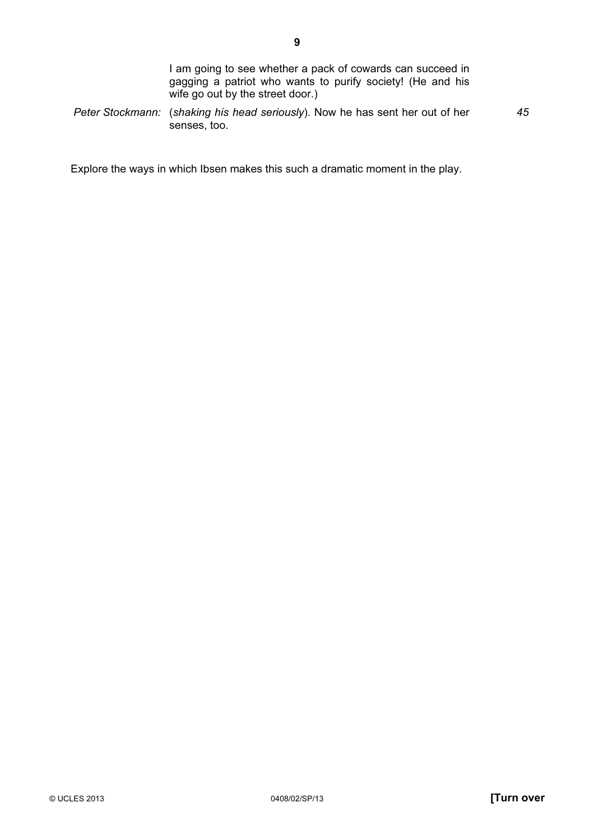I am going to see whether a pack of cowards can succeed in gagging a patriot who wants to purify society! (He and his wife go out by the street door.)

Peter Stockmann: (shaking his head seriously). Now he has sent her out of her senses, too.

45

Explore the ways in which Ibsen makes this such a dramatic moment in the play.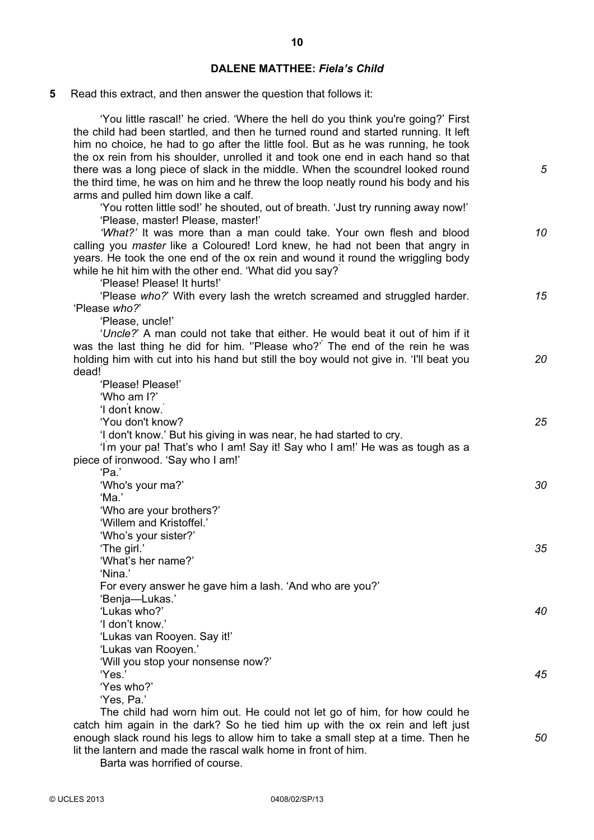# DALENE MATTHEE: Fiela's Child

# 5 Read this extract, and then answer the question that follows it:

| 'You little rascal!' he cried. 'Where the hell do you think you're going?' First<br>the child had been startled, and then he turned round and started running. It left<br>him no choice, he had to go after the little fool. But as he was running, he took<br>the ox rein from his shoulder, unrolled it and took one end in each hand so that<br>there was a long piece of slack in the middle. When the scoundrel looked round<br>the third time, he was on him and he threw the loop neatly round his body and his<br>arms and pulled him down like a calf. | 5  |
|-----------------------------------------------------------------------------------------------------------------------------------------------------------------------------------------------------------------------------------------------------------------------------------------------------------------------------------------------------------------------------------------------------------------------------------------------------------------------------------------------------------------------------------------------------------------|----|
| 'You rotten little sod!' he shouted, out of breath. 'Just try running away now!'<br>'Please, master! Please, master!'                                                                                                                                                                                                                                                                                                                                                                                                                                           |    |
| 'What?' It was more than a man could take. Your own flesh and blood<br>calling you master like a Coloured! Lord knew, he had not been that angry in<br>years. He took the one end of the ox rein and wound it round the wriggling body<br>while he hit him with the other end. 'What did you say?'                                                                                                                                                                                                                                                              | 10 |
| 'Please! Please! It hurts!'<br>'Please who?' With every lash the wretch screamed and struggled harder.<br>'Please who?'                                                                                                                                                                                                                                                                                                                                                                                                                                         | 15 |
| 'Please, uncle!'<br>'Uncle?' A man could not take that either. He would beat it out of him if it<br>was the last thing he did for him. "Please who?" The end of the rein he was<br>holding him with cut into his hand but still the boy would not give in. 'I'll beat you<br>dead!                                                                                                                                                                                                                                                                              | 20 |
| 'Please! Please!'<br>'Who am I?'<br>'I don't know.<br>'You don't know?                                                                                                                                                                                                                                                                                                                                                                                                                                                                                          | 25 |
| 'I don't know.' But his giving in was near, he had started to cry.<br>'I'm your pa! That's who I am! Say it! Say who I am!' He was as tough as a<br>piece of ironwood. 'Say who I am!'                                                                                                                                                                                                                                                                                                                                                                          |    |
| 'Pa.'<br>'Who's your ma?'<br>'Ma.'<br>'Who are your brothers?'                                                                                                                                                                                                                                                                                                                                                                                                                                                                                                  | 30 |
| 'Willem and Kristoffel.'<br>'Who's your sister?'<br>'The girl.'<br>'What's her name?'                                                                                                                                                                                                                                                                                                                                                                                                                                                                           | 35 |
| 'Nina.'<br>For every answer he gave him a lash. 'And who are you?'<br>'Benja-Lukas.'                                                                                                                                                                                                                                                                                                                                                                                                                                                                            |    |
| 'Lukas who?'<br>'I don't know.'<br>'Lukas van Rooyen. Say it!'<br>'Lukas van Rooyen.'                                                                                                                                                                                                                                                                                                                                                                                                                                                                           | 40 |
| 'Will you stop your nonsense now?'<br>'Yes.'<br>'Yes who?'<br>'Yes, Pa.'                                                                                                                                                                                                                                                                                                                                                                                                                                                                                        | 45 |
| The child had worn him out. He could not let go of him, for how could he<br>catch him again in the dark? So he tied him up with the ox rein and left just<br>enough slack round his legs to allow him to take a small step at a time. Then he                                                                                                                                                                                                                                                                                                                   | 50 |

enough slack round his legs to allow him to take a small step at a time. Then he lit the lantern and made the rascal walk home in front of him.

Barta was horrified of course.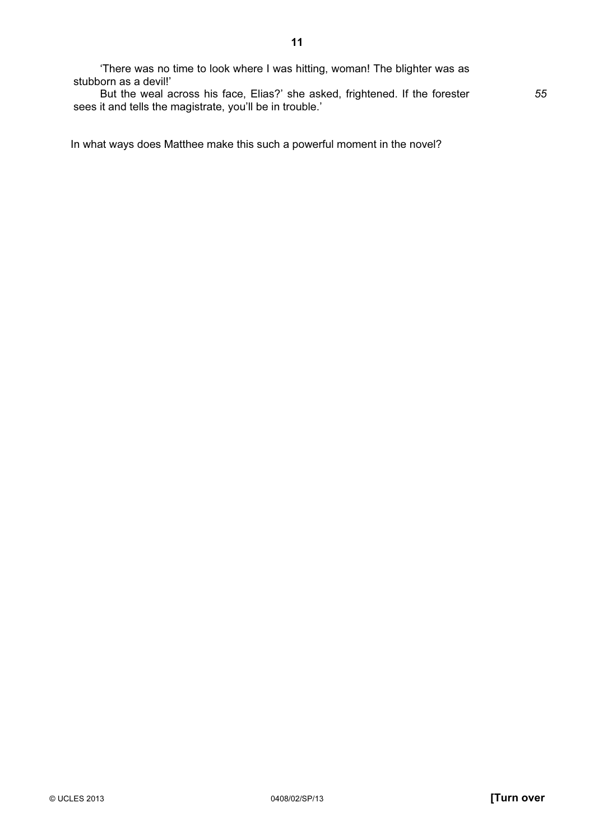'There was no time to look where I was hitting, woman! The blighter was as stubborn as a devil!'

 But the weal across his face, Elias?' she asked, frightened. If the forester sees it and tells the magistrate, you'll be in trouble.'

In what ways does Matthee make this such a powerful moment in the novel?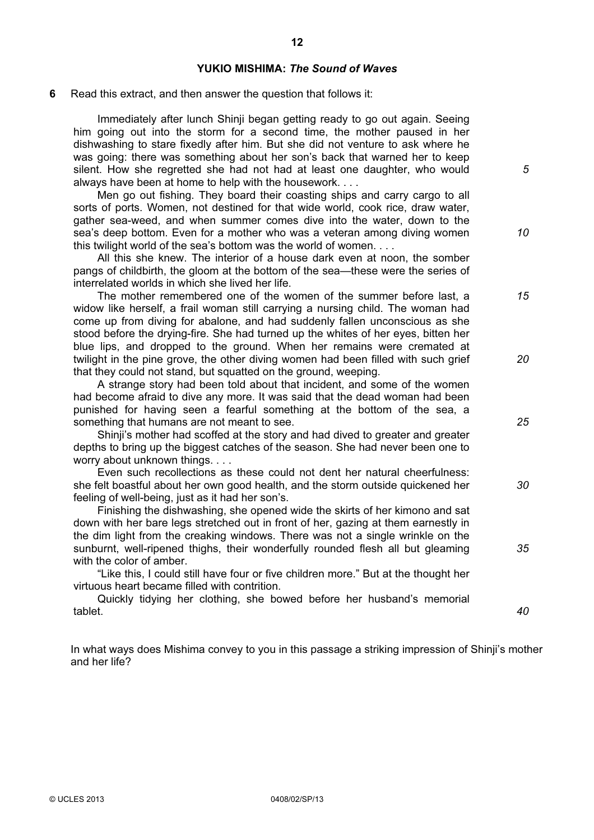#### YUKIO MISHIMA: The Sound of Waves

#### 6 Read this extract, and then answer the question that follows it:

 Immediately after lunch Shinji began getting ready to go out again. Seeing him going out into the storm for a second time, the mother paused in her dishwashing to stare fixedly after him. But she did not venture to ask where he was going: there was something about her son's back that warned her to keep silent. How she regretted she had not had at least one daughter, who would always have been at home to help with the housework. . . .

 Men go out fishing. They board their coasting ships and carry cargo to all sorts of ports. Women, not destined for that wide world, cook rice, draw water, gather sea-weed, and when summer comes dive into the water, down to the sea's deep bottom. Even for a mother who was a veteran among diving women this twilight world of the sea's bottom was the world of women. . . .

 All this she knew. The interior of a house dark even at noon, the somber pangs of childbirth, the gloom at the bottom of the sea—these were the series of interrelated worlds in which she lived her life.

 The mother remembered one of the women of the summer before last, a widow like herself, a frail woman still carrying a nursing child. The woman had come up from diving for abalone, and had suddenly fallen unconscious as she stood before the drying-fire. She had turned up the whites of her eyes, bitten her blue lips, and dropped to the ground. When her remains were cremated at twilight in the pine grove, the other diving women had been filled with such grief that they could not stand, but squatted on the ground, weeping.

 A strange story had been told about that incident, and some of the women had become afraid to dive any more. It was said that the dead woman had been punished for having seen a fearful something at the bottom of the sea, a something that humans are not meant to see. **25** and the set of the set of the set of the set of the set of the set of the set of the set of the set of the set of the set of the set of the set of the set of the set of the

Shinii's mother had scoffed at the story and had dived to greater and greater depths to bring up the biggest catches of the season. She had never been one to worry about unknown things. . . .

 Even such recollections as these could not dent her natural cheerfulness: she felt boastful about her own good health, and the storm outside quickened her feeling of well-being, just as it had her son's.

 Finishing the dishwashing, she opened wide the skirts of her kimono and sat down with her bare legs stretched out in front of her, gazing at them earnestly in the dim light from the creaking windows. There was not a single wrinkle on the sunburnt, well-ripened thighs, their wonderfully rounded flesh all but gleaming with the color of amber.

 "Like this, I could still have four or five children more." But at the thought her virtuous heart became filled with contrition.

 Quickly tidying her clothing, she bowed before her husband's memorial tablet.  $40$ 

 In what ways does Mishima convey to you in this passage a striking impression of Shinji's mother and her life?

© UCLES 2013 0408/02/SP/13

10

15

20

5

30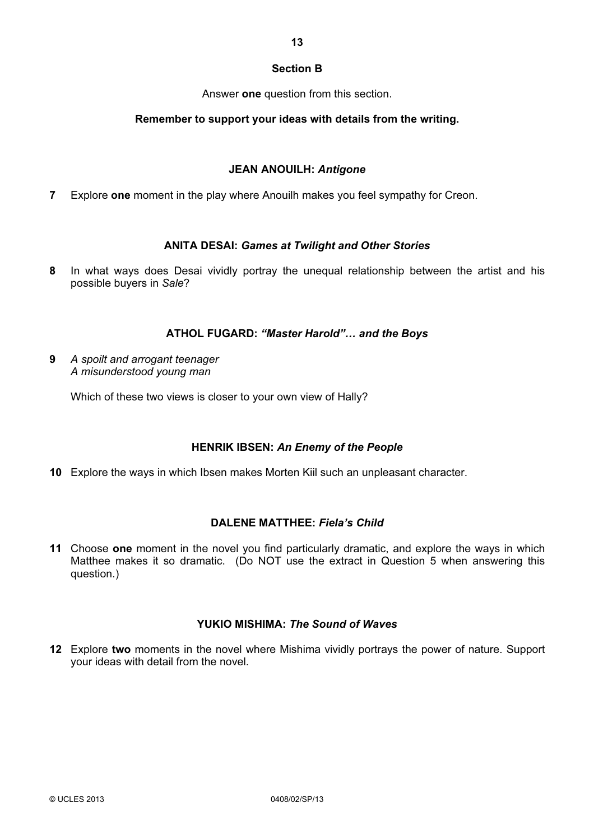### Section B

Answer one question from this section.

## Remember to support your ideas with details from the writing.

### JEAN ANOUILH: Antigone

7 Explore one moment in the play where Anouilh makes you feel sympathy for Creon.

## ANITA DESAI: Games at Twilight and Other Stories

8 In what ways does Desai vividly portray the unequal relationship between the artist and his possible buyers in Sale?

## ATHOL FUGARD: "Master Harold"… and the Boys

9 A spoilt and arrogant teenager A misunderstood young man

Which of these two views is closer to your own view of Hally?

## HENRIK IBSEN: An Enemy of the People

10 Explore the ways in which Ibsen makes Morten Kiil such an unpleasant character.

## DALENE MATTHEE: Fiela's Child

11 Choose one moment in the novel you find particularly dramatic, and explore the ways in which Matthee makes it so dramatic. (Do NOT use the extract in Question 5 when answering this question.)

## YUKIO MISHIMA: The Sound of Waves

12 Explore two moments in the novel where Mishima vividly portrays the power of nature. Support your ideas with detail from the novel.